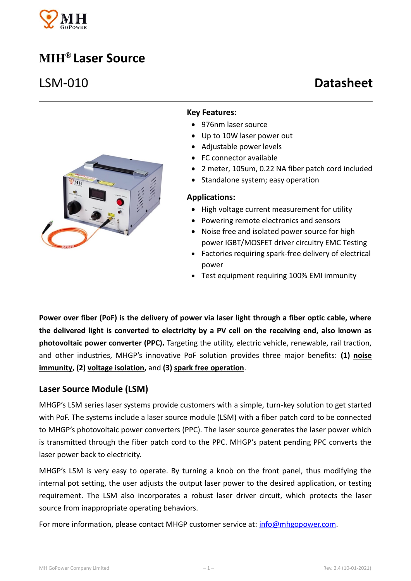

# **MIH® Laser Source**



### **Key Features:**

- 976nm laser source
- Up to 10W laser power out
- Adjustable power levels
- FC connector available
- 2 meter, 105um, 0.22 NA fiber patch cord included
- Standalone system; easy operation

#### **Applications:**

- High voltage current measurement for utility
- Powering remote electronics and sensors
- Noise free and isolated power source for high power IGBT/MOSFET driver circuitry EMC Testing
- Factories requiring spark-free delivery of electrical power
- Test equipment requiring 100% EMI immunity

**Power over fiber (PoF) is the delivery of power via laser light through a fiber optic cable, where the delivered light is converted to electricity by a PV cell on the receiving end, also known as photovoltaic power converter (PPC).** Targeting the utility, electric vehicle, renewable, rail traction, and other industries, MHGP's innovative PoF solution provides three major benefits: **(1) noise immunity, (2) voltage isolation,** and **(3) spark free operation**.

### **Laser Source Module (LSM)**

MHGP's LSM series laser systems provide customers with a simple, turn-key solution to get started with PoF. The systems include a laser source module (LSM) with a fiber patch cord to be connected to MHGP's photovoltaic power converters (PPC). The laser source generates the laser power which is transmitted through the fiber patch cord to the PPC. MHGP's patent pending PPC converts the laser power back to electricity.

MHGP's LSM is very easy to operate. By turning a knob on the front panel, thus modifying the internal pot setting, the user adjusts the output laser power to the desired application, or testing requirement. The LSM also incorporates a robust laser driver circuit, which protects the laser source from inappropriate operating behaviors.

For more information, please contact MHGP customer service at: [info@mhgopower.com.](mailto:info@mhgopower.com)